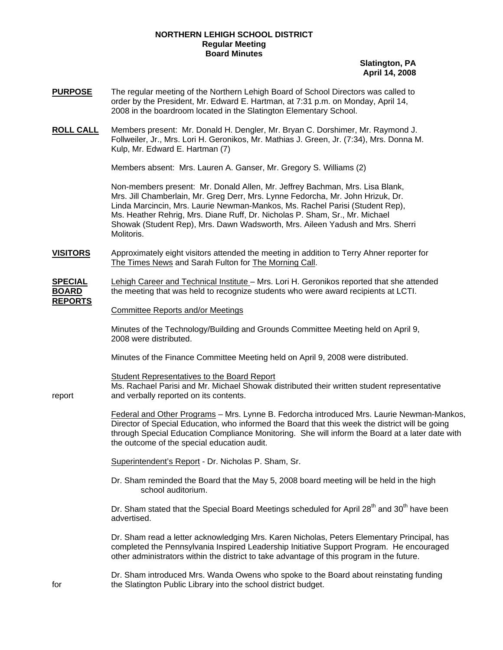## **NORTHERN LEHIGH SCHOOL DISTRICT Regular Meeting Board Minutes**

**Slatington, PA April 14, 2008**

- **PURPOSE** The regular meeting of the Northern Lehigh Board of School Directors was called to order by the President, Mr. Edward E. Hartman, at 7:31 p.m. on Monday, April 14, 2008 in the boardroom located in the Slatington Elementary School.
- **ROLL CALL** Members present: Mr. Donald H. Dengler, Mr. Bryan C. Dorshimer, Mr. Raymond J. Follweiler, Jr., Mrs. Lori H. Geronikos, Mr. Mathias J. Green, Jr. (7:34), Mrs. Donna M. Kulp, Mr. Edward E. Hartman (7)

Members absent: Mrs. Lauren A. Ganser, Mr. Gregory S. Williams (2)

Non-members present: Mr. Donald Allen, Mr. Jeffrey Bachman, Mrs. Lisa Blank, Mrs. Jill Chamberlain, Mr. Greg Derr, Mrs. Lynne Fedorcha, Mr. John Hrizuk, Dr. Linda Marcincin, Mrs. Laurie Newman-Mankos, Ms. Rachel Parisi (Student Rep), Ms. Heather Rehrig, Mrs. Diane Ruff, Dr. Nicholas P. Sham, Sr., Mr. Michael Showak (Student Rep), Mrs. Dawn Wadsworth, Mrs. Aileen Yadush and Mrs. Sherri Molitoris.

**VISITORS** Approximately eight visitors attended the meeting in addition to Terry Ahner reporter for The Times News and Sarah Fulton for The Morning Call.

**SPECIAL** Lehigh Career and Technical Institute – Mrs. Lori H. Geronikos reported that she attended **BOARD** the meeting that was held to recognize students who were award recipients at LCTI. **REPORTS**

## Committee Reports and/or Meetings

Minutes of the Technology/Building and Grounds Committee Meeting held on April 9, 2008 were distributed.

Minutes of the Finance Committee Meeting held on April 9, 2008 were distributed.

 Ms. Rachael Parisi and Mr. Michael Showak distributed their written student representative report and verbally reported on its contents.

Federal and Other Programs – Mrs. Lynne B. Fedorcha introduced Mrs. Laurie Newman-Mankos, Director of Special Education, who informed the Board that this week the district will be going through Special Education Compliance Monitoring. She will inform the Board at a later date with the outcome of the special education audit.

Superintendent's Report - Dr. Nicholas P. Sham, Sr.

Student Representatives to the Board Report

 Dr. Sham reminded the Board that the May 5, 2008 board meeting will be held in the high school auditorium.

Dr. Sham stated that the Special Board Meetings scheduled for April  $28<sup>th</sup>$  and  $30<sup>th</sup>$  have been advertised.

Dr. Sham read a letter acknowledging Mrs. Karen Nicholas, Peters Elementary Principal, has completed the Pennsylvania Inspired Leadership Initiative Support Program. He encouraged other administrators within the district to take advantage of this program in the future.

 Dr. Sham introduced Mrs. Wanda Owens who spoke to the Board about reinstating funding for the Slatington Public Library into the school district budget.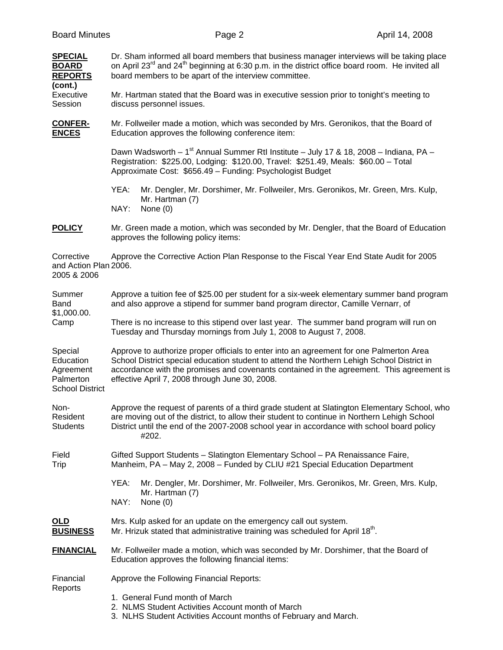| <b>SPECIAL</b><br><b>BOARD</b><br><b>REPORTS</b>                         | Dr. Sham informed all board members that business manager interviews will be taking place<br>on April 23 <sup>rd</sup> and 24 <sup>th</sup> beginning at 6:30 p.m. in the district office board room. He invited all<br>board members to be apart of the interview committee.                                                       |
|--------------------------------------------------------------------------|-------------------------------------------------------------------------------------------------------------------------------------------------------------------------------------------------------------------------------------------------------------------------------------------------------------------------------------|
| (cont.)<br>Executive<br>Session                                          | Mr. Hartman stated that the Board was in executive session prior to tonight's meeting to<br>discuss personnel issues.                                                                                                                                                                                                               |
| <b>CONFER-</b><br><b>ENCES</b>                                           | Mr. Follweiler made a motion, which was seconded by Mrs. Geronikos, that the Board of<br>Education approves the following conference item:                                                                                                                                                                                          |
|                                                                          | Dawn Wadsworth – 1 <sup>st</sup> Annual Summer Rtl Institute – July 17 & 18, 2008 – Indiana, PA –<br>Registration: \$225.00, Lodging: \$120.00, Travel: \$251.49, Meals: \$60.00 - Total<br>Approximate Cost: \$656.49 - Funding: Psychologist Budget                                                                               |
|                                                                          | YEA:<br>Mr. Dengler, Mr. Dorshimer, Mr. Follweiler, Mrs. Geronikos, Mr. Green, Mrs. Kulp,<br>Mr. Hartman (7)<br>NAY:<br>None $(0)$                                                                                                                                                                                                  |
| <b>POLICY</b>                                                            | Mr. Green made a motion, which was seconded by Mr. Dengler, that the Board of Education<br>approves the following policy items:                                                                                                                                                                                                     |
| Corrective<br>and Action Plan 2006.<br>2005 & 2006                       | Approve the Corrective Action Plan Response to the Fiscal Year End State Audit for 2005                                                                                                                                                                                                                                             |
| Summer<br><b>Band</b><br>\$1,000.00.<br>Camp                             | Approve a tuition fee of \$25.00 per student for a six-week elementary summer band program<br>and also approve a stipend for summer band program director, Camille Vernarr, of                                                                                                                                                      |
|                                                                          | There is no increase to this stipend over last year. The summer band program will run on<br>Tuesday and Thursday mornings from July 1, 2008 to August 7, 2008.                                                                                                                                                                      |
| Special<br>Education<br>Agreement<br>Palmerton<br><b>School District</b> | Approve to authorize proper officials to enter into an agreement for one Palmerton Area<br>School District special education student to attend the Northern Lehigh School District in<br>accordance with the promises and covenants contained in the agreement. This agreement is<br>effective April 7, 2008 through June 30, 2008. |
| Non-<br>Resident<br><b>Students</b>                                      | Approve the request of parents of a third grade student at Slatington Elementary School, who<br>are moving out of the district, to allow their student to continue in Northern Lehigh School<br>District until the end of the 2007-2008 school year in accordance with school board policy<br>#202.                                 |
| Field<br>Trip                                                            | Gifted Support Students - Slatington Elementary School - PA Renaissance Faire,<br>Manheim, PA - May 2, 2008 - Funded by CLIU #21 Special Education Department                                                                                                                                                                       |
|                                                                          | YEA:<br>Mr. Dengler, Mr. Dorshimer, Mr. Follweiler, Mrs. Geronikos, Mr. Green, Mrs. Kulp,<br>Mr. Hartman (7)<br>NAY:<br>None $(0)$                                                                                                                                                                                                  |
| <u>OLD</u><br><b>BUSINESS</b>                                            | Mrs. Kulp asked for an update on the emergency call out system.<br>Mr. Hrizuk stated that administrative training was scheduled for April 18 <sup>th</sup> .                                                                                                                                                                        |
| <b>FINANCIAL</b>                                                         | Mr. Follweiler made a motion, which was seconded by Mr. Dorshimer, that the Board of<br>Education approves the following financial items:                                                                                                                                                                                           |
| Financial<br>Reports                                                     | Approve the Following Financial Reports:                                                                                                                                                                                                                                                                                            |
|                                                                          | 1. General Fund month of March<br>2. NLMS Student Activities Account month of March<br>3. NLHS Student Activities Account months of February and March.                                                                                                                                                                             |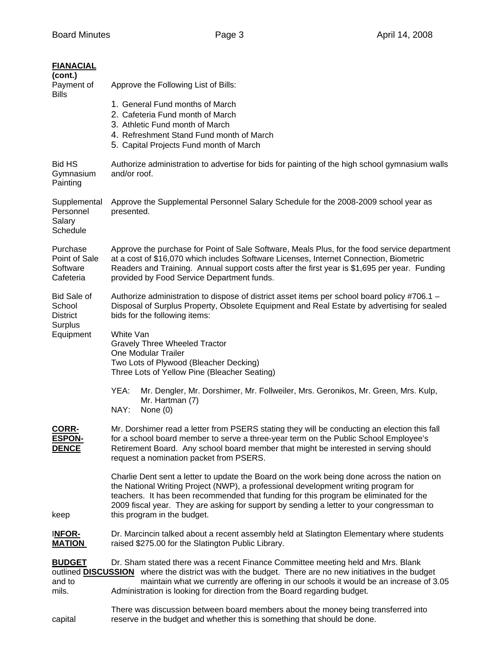| <b>FIANACIAL</b><br>(cont.)<br>Payment of                               | Approve the Following List of Bills:                                                                                                                                                                                                                                                                                                                                                                 |
|-------------------------------------------------------------------------|------------------------------------------------------------------------------------------------------------------------------------------------------------------------------------------------------------------------------------------------------------------------------------------------------------------------------------------------------------------------------------------------------|
| <b>Bills</b>                                                            | 1. General Fund months of March<br>2. Cafeteria Fund month of March<br>3. Athletic Fund month of March<br>4. Refreshment Stand Fund month of March<br>5. Capital Projects Fund month of March                                                                                                                                                                                                        |
| <b>Bid HS</b><br>Gymnasium<br>Painting                                  | Authorize administration to advertise for bids for painting of the high school gymnasium walls<br>and/or roof.                                                                                                                                                                                                                                                                                       |
| Supplemental<br>Personnel<br>Salary<br>Schedule                         | Approve the Supplemental Personnel Salary Schedule for the 2008-2009 school year as<br>presented.                                                                                                                                                                                                                                                                                                    |
| Purchase<br>Point of Sale<br>Software<br>Cafeteria                      | Approve the purchase for Point of Sale Software, Meals Plus, for the food service department<br>at a cost of \$16,070 which includes Software Licenses, Internet Connection, Biometric<br>Readers and Training. Annual support costs after the first year is \$1,695 per year. Funding<br>provided by Food Service Department funds.                                                                 |
| <b>Bid Sale of</b><br>School<br><b>District</b><br>Surplus<br>Equipment | Authorize administration to dispose of district asset items per school board policy #706.1 -<br>Disposal of Surplus Property, Obsolete Equipment and Real Estate by advertising for sealed<br>bids for the following items:                                                                                                                                                                          |
|                                                                         | White Van<br><b>Gravely Three Wheeled Tractor</b><br><b>One Modular Trailer</b><br>Two Lots of Plywood (Bleacher Decking)<br>Three Lots of Yellow Pine (Bleacher Seating)                                                                                                                                                                                                                            |
|                                                                         | YEA:<br>Mr. Dengler, Mr. Dorshimer, Mr. Follweiler, Mrs. Geronikos, Mr. Green, Mrs. Kulp,<br>Mr. Hartman (7)<br>NAY:<br>None $(0)$                                                                                                                                                                                                                                                                   |
| <b>CORR-</b><br><b>ESPON-</b><br><b>DENCE</b><br>keep                   | Mr. Dorshimer read a letter from PSERS stating they will be conducting an election this fall<br>for a school board member to serve a three-year term on the Public School Employee's<br>Retirement Board. Any school board member that might be interested in serving should<br>request a nomination packet from PSERS.                                                                              |
|                                                                         | Charlie Dent sent a letter to update the Board on the work being done across the nation on<br>the National Writing Project (NWP), a professional development writing program for<br>teachers. It has been recommended that funding for this program be eliminated for the<br>2009 fiscal year. They are asking for support by sending a letter to your congressman to<br>this program in the budget. |
| <b>INFOR-</b><br><b>MATION</b>                                          | Dr. Marcincin talked about a recent assembly held at Slatington Elementary where students<br>raised \$275.00 for the Slatington Public Library.                                                                                                                                                                                                                                                      |
| <b>BUDGET</b><br>and to<br>mils.                                        | Dr. Sham stated there was a recent Finance Committee meeting held and Mrs. Blank<br>outlined <b>DISCUSSION</b> where the district was with the budget. There are no new initiatives in the budget<br>maintain what we currently are offering in our schools it would be an increase of 3.05<br>Administration is looking for direction from the Board regarding budget.                              |
| capital                                                                 | There was discussion between board members about the money being transferred into<br>reserve in the budget and whether this is something that should be done.                                                                                                                                                                                                                                        |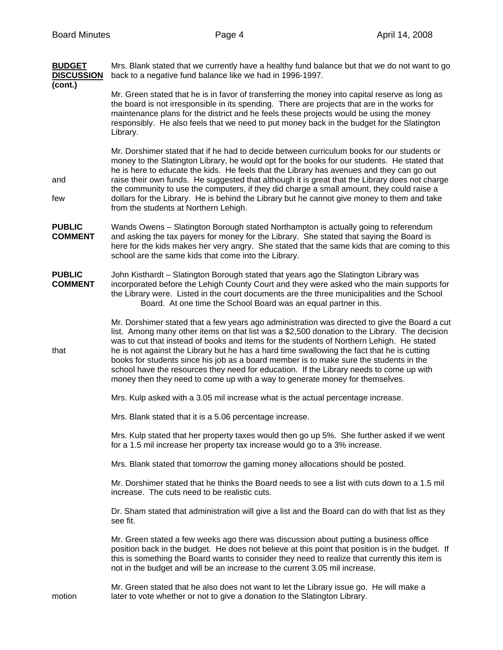| <b>BUDGET</b><br><b>DISCUSSION</b> | Mrs. Blank stated that we currently have a healthy fund balance but that we do not want to go<br>back to a negative fund balance like we had in 1996-1997.                                                                                                                                                                                                                                                                                                                                                                                                                                                                                                      |
|------------------------------------|-----------------------------------------------------------------------------------------------------------------------------------------------------------------------------------------------------------------------------------------------------------------------------------------------------------------------------------------------------------------------------------------------------------------------------------------------------------------------------------------------------------------------------------------------------------------------------------------------------------------------------------------------------------------|
| (cont.)                            | Mr. Green stated that he is in favor of transferring the money into capital reserve as long as<br>the board is not irresponsible in its spending. There are projects that are in the works for<br>maintenance plans for the district and he feels these projects would be using the money<br>responsibly. He also feels that we need to put money back in the budget for the Slatington<br>Library.                                                                                                                                                                                                                                                             |
| and<br>few                         | Mr. Dorshimer stated that if he had to decide between curriculum books for our students or<br>money to the Slatington Library, he would opt for the books for our students. He stated that<br>he is here to educate the kids. He feels that the Library has avenues and they can go out<br>raise their own funds. He suggested that although it is great that the Library does not charge<br>the community to use the computers, if they did charge a small amount, they could raise a<br>dollars for the Library. He is behind the Library but he cannot give money to them and take<br>from the students at Northern Lehigh.                                  |
| <b>PUBLIC</b><br><b>COMMENT</b>    | Wands Owens - Slatington Borough stated Northampton is actually going to referendum<br>and asking the tax payers for money for the Library. She stated that saying the Board is<br>here for the kids makes her very angry. She stated that the same kids that are coming to this<br>school are the same kids that come into the Library.                                                                                                                                                                                                                                                                                                                        |
| <b>PUBLIC</b><br><b>COMMENT</b>    | John Kisthardt - Slatington Borough stated that years ago the Slatington Library was<br>incorporated before the Lehigh County Court and they were asked who the main supports for<br>the Library were. Listed in the court documents are the three municipalities and the School<br>Board. At one time the School Board was an equal partner in this.                                                                                                                                                                                                                                                                                                           |
| that                               | Mr. Dorshimer stated that a few years ago administration was directed to give the Board a cut<br>list. Among many other items on that list was a \$2,500 donation to the Library. The decision<br>was to cut that instead of books and items for the students of Northern Lehigh. He stated<br>he is not against the Library but he has a hard time swallowing the fact that he is cutting<br>books for students since his job as a board member is to make sure the students in the<br>school have the resources they need for education. If the Library needs to come up with<br>money then they need to come up with a way to generate money for themselves. |
|                                    | Mrs. Kulp asked with a 3.05 mil increase what is the actual percentage increase.                                                                                                                                                                                                                                                                                                                                                                                                                                                                                                                                                                                |
|                                    | Mrs. Blank stated that it is a 5.06 percentage increase.                                                                                                                                                                                                                                                                                                                                                                                                                                                                                                                                                                                                        |
|                                    | Mrs. Kulp stated that her property taxes would then go up 5%. She further asked if we went<br>for a 1.5 mil increase her property tax increase would go to a 3% increase.                                                                                                                                                                                                                                                                                                                                                                                                                                                                                       |
|                                    | Mrs. Blank stated that tomorrow the gaming money allocations should be posted.                                                                                                                                                                                                                                                                                                                                                                                                                                                                                                                                                                                  |
|                                    | Mr. Dorshimer stated that he thinks the Board needs to see a list with cuts down to a 1.5 mil<br>increase. The cuts need to be realistic cuts.                                                                                                                                                                                                                                                                                                                                                                                                                                                                                                                  |
|                                    | Dr. Sham stated that administration will give a list and the Board can do with that list as they<br>see fit.                                                                                                                                                                                                                                                                                                                                                                                                                                                                                                                                                    |
|                                    | Mr. Green stated a few weeks ago there was discussion about putting a business office<br>position back in the budget. He does not believe at this point that position is in the budget. If<br>this is something the Board wants to consider they need to realize that currently this item is<br>not in the budget and will be an increase to the current 3.05 mil increase.                                                                                                                                                                                                                                                                                     |
| motion                             | Mr. Green stated that he also does not want to let the Library issue go. He will make a<br>later to vote whether or not to give a donation to the Slatington Library.                                                                                                                                                                                                                                                                                                                                                                                                                                                                                           |